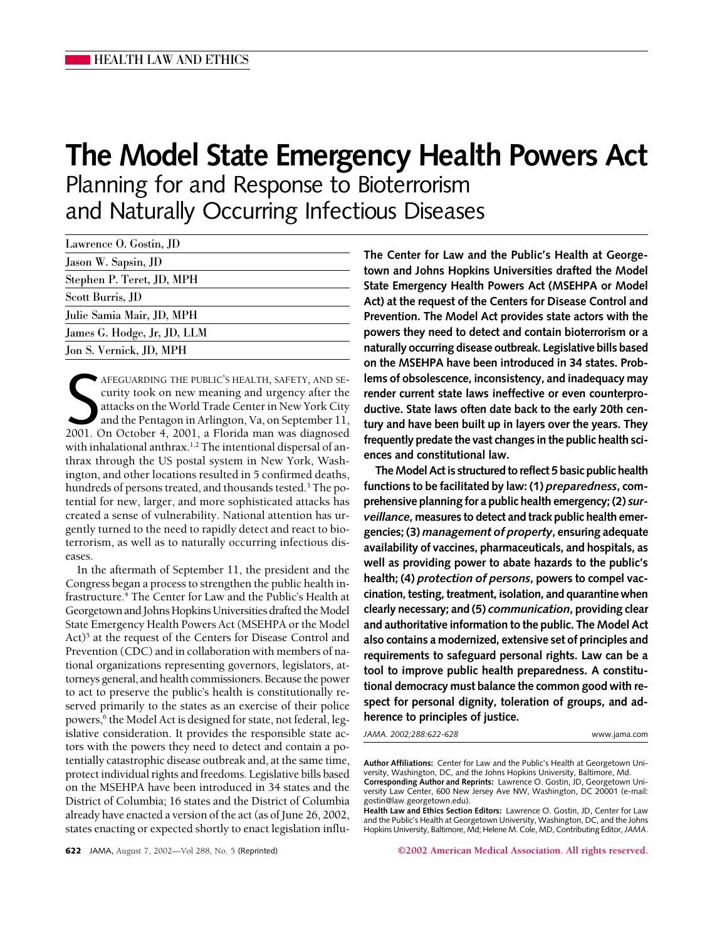# **The Model State Emergency Health Powers Act**

Planning for and Response to Bioterrorism and Naturally Occurring Infectious Diseases

| Lawrence O. Gostin, JD      |  |
|-----------------------------|--|
| Jason W. Sapsin, JD         |  |
| Stephen P. Teret, JD, MPH   |  |
| Scott Burris, JD            |  |
| Julie Samia Mair, JD, MPH   |  |
| James G. Hodge, Jr, JD, LLM |  |
| Jon S. Vernick, JD, MPH     |  |

AFEGUARDING THE PUBLIC'S HEALTH, SAFETY, AND SE-<br>curity took on new meaning and urgency after the<br>attacks on the World Trade Center in New York City<br>and the Pentagon in Arlington, Va, on September 11,<br>2001. On October 4, 2 AFEGUARDING THE PUBLIC'S HEALTH, SAFETY, AND SEcurity took on new meaning and urgency after the attacks on the World Trade Center in New York City and the Pentagon in Arlington, Va, on September 11, with inhalational anthrax.<sup>1,2</sup> The intentional dispersal of anthrax through the US postal system in New York, Washington, and other locations resulted in 5 confirmed deaths, hundreds of persons treated, and thousands tested.<sup>3</sup> The potential for new, larger, and more sophisticated attacks has created a sense of vulnerability. National attention has urgently turned to the need to rapidly detect and react to bioterrorism, as well as to naturally occurring infectious diseases.

In the aftermath of September 11, the president and the Congress began a process to strengthen the public health infrastructure.4 The Center for Law and the Public's Health at Georgetown and Johns Hopkins Universities drafted the Model State Emergency Health Powers Act (MSEHPA or the Model  $Act)^5$  at the request of the Centers for Disease Control and Prevention (CDC) and in collaboration with members of national organizations representing governors, legislators, attorneys general, and health commissioners. Because the power to act to preserve the public's health is constitutionally reserved primarily to the states as an exercise of their police powers,<sup>6</sup> the Model Act is designed for state, not federal, legislative consideration. It provides the responsible state actors with the powers they need to detect and contain a potentially catastrophic disease outbreak and, at the same time, protect individual rights and freedoms. Legislative bills based on the MSEHPA have been introduced in 34 states and the District of Columbia; 16 states and the District of Columbia already have enacted a version of the act (as of June 26, 2002, states enacting or expected shortly to enact legislation influ**The Center for Law and the Public's Health at Georgetown and Johns Hopkins Universities drafted the Model State Emergency Health Powers Act (MSEHPA or Model Act) at the request of the Centers for Disease Control and Prevention. The Model Act provides state actors with the powers they need to detect and contain bioterrorism or a naturally occurring disease outbreak. Legislative bills based on the MSEHPA have been introduced in 34 states. Problems of obsolescence, inconsistency, and inadequacy may render current state laws ineffective or even counterproductive. State laws often date back to the early 20th century and have been built up in layers over the years. They frequently predate the vast changes in the public health sciences and constitutional law.**

**The Model Act is structured to reflect 5 basic public health functions to be facilitated by law: (1)** *preparedness***, comprehensive planning for a public health emergency; (2)** *surveillance***, measures to detect and track public health emergencies; (3)** *management of property***, ensuring adequate availability of vaccines, pharmaceuticals, and hospitals, as well as providing power to abate hazards to the public's health; (4)** *protection of persons***, powers to compel vaccination, testing, treatment, isolation, and quarantine when clearly necessary; and (5)** *communication***, providing clear and authoritative information to the public. The Model Act also contains a modernized, extensive set of principles and requirements to safeguard personal rights. Law can be a tool to improve public health preparedness. A constitutional democracy must balance the common good with respect for personal dignity, toleration of groups, and adherence to principles of justice.**

*JAMA. 2002;288:622-628* www.jama.com

**Health Law and Ethics Section Editors:** Lawrence O. Gostin, JD, Center for Law and the Public's Health at Georgetown University, Washington, DC, and the Johns Hopkins University, Baltimore, Md; Helene M. Cole, MD, Contributing Editor,*JAMA*.

**622** JAMA, August 7, 2002—Vol 288, No. 5 (Reprinted) **©2002 American Medical Association. All rights reserved.**

**Author Affiliations:** Center for Law and the Public's Health at Georgetown University, Washington, DC, and the Johns Hopkins University, Baltimore, Md. **Corresponding Author and Reprints:** Lawrence O. Gostin, JD, Georgetown Uni-

versity Law Center, 600 New Jersey Ave NW, Washington, DC 20001 (e-mail: gostin@law.georgetown.edu).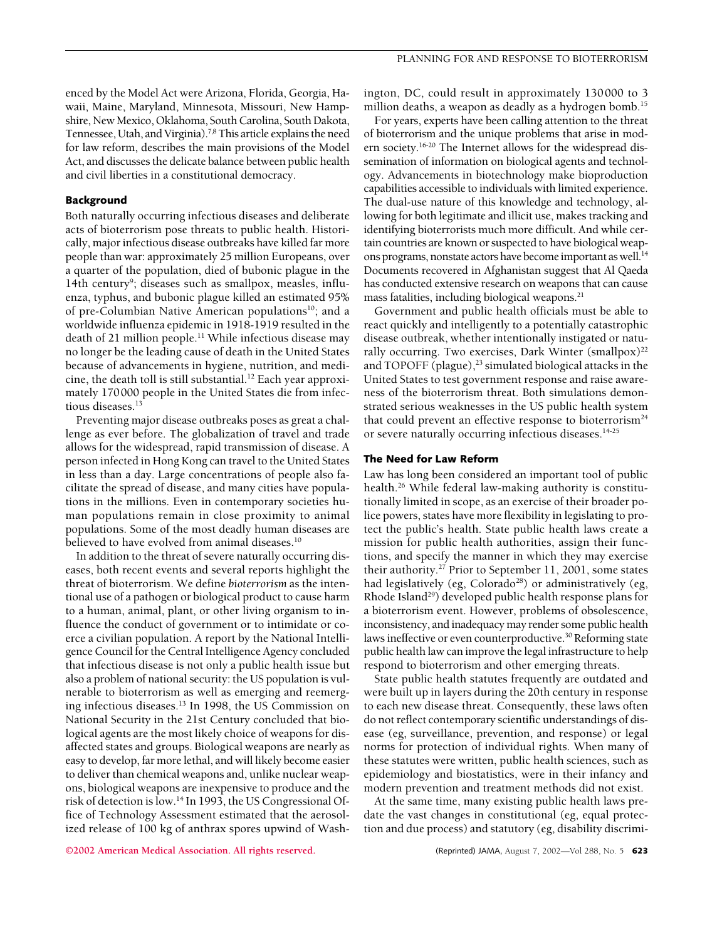enced by the Model Act were Arizona, Florida, Georgia, Hawaii, Maine, Maryland, Minnesota, Missouri, New Hampshire, New Mexico, Oklahoma, South Carolina, South Dakota, Tennessee, Utah, and Virginia).<sup>7,8</sup> This article explains the need for law reform, describes the main provisions of the Model Act, and discusses the delicate balance between public health and civil liberties in a constitutional democracy.

## **Background**

Both naturally occurring infectious diseases and deliberate acts of bioterrorism pose threats to public health. Historically, major infectious disease outbreaks have killed far more people than war: approximately 25 million Europeans, over a quarter of the population, died of bubonic plague in the 14th century<sup>9</sup>; diseases such as smallpox, measles, influenza, typhus, and bubonic plague killed an estimated 95% of pre-Columbian Native American populations<sup>10</sup>; and a worldwide influenza epidemic in 1918-1919 resulted in the death of 21 million people.<sup>11</sup> While infectious disease may no longer be the leading cause of death in the United States because of advancements in hygiene, nutrition, and medicine, the death toll is still substantial.<sup>12</sup> Each year approximately 170000 people in the United States die from infectious diseases.<sup>13</sup>

Preventing major disease outbreaks poses as great a challenge as ever before. The globalization of travel and trade allows for the widespread, rapid transmission of disease. A person infected in Hong Kong can travel to the United States in less than a day. Large concentrations of people also facilitate the spread of disease, and many cities have populations in the millions. Even in contemporary societies human populations remain in close proximity to animal populations. Some of the most deadly human diseases are believed to have evolved from animal diseases.<sup>10</sup>

In addition to the threat of severe naturally occurring diseases, both recent events and several reports highlight the threat of bioterrorism. We define *bioterrorism* as the intentional use of a pathogen or biological product to cause harm to a human, animal, plant, or other living organism to influence the conduct of government or to intimidate or coerce a civilian population. A report by the National Intelligence Council for the Central Intelligence Agency concluded that infectious disease is not only a public health issue but also a problem of national security: the US population is vulnerable to bioterrorism as well as emerging and reemerging infectious diseases.13 In 1998, the US Commission on National Security in the 21st Century concluded that biological agents are the most likely choice of weapons for disaffected states and groups. Biological weapons are nearly as easy to develop, far more lethal, and will likely become easier to deliver than chemical weapons and, unlike nuclear weapons, biological weapons are inexpensive to produce and the risk of detection is low.14 In 1993, the US Congressional Office of Technology Assessment estimated that the aerosolized release of 100 kg of anthrax spores upwind of Washington, DC, could result in approximately 130000 to 3 million deaths, a weapon as deadly as a hydrogen bomb.<sup>15</sup>

For years, experts have been calling attention to the threat of bioterrorism and the unique problems that arise in modern society.16-20 The Internet allows for the widespread dissemination of information on biological agents and technology. Advancements in biotechnology make bioproduction capabilities accessible to individuals with limited experience. The dual-use nature of this knowledge and technology, allowing for both legitimate and illicit use, makes tracking and identifying bioterrorists much more difficult. And while certain countries are known or suspected to have biological weapons programs, nonstate actors have become important as well.<sup>14</sup> Documents recovered in Afghanistan suggest that Al Qaeda has conducted extensive research on weapons that can cause mass fatalities, including biological weapons.<sup>21</sup>

Government and public health officials must be able to react quickly and intelligently to a potentially catastrophic disease outbreak, whether intentionally instigated or naturally occurring. Two exercises, Dark Winter (smallpox)<sup>22</sup> and TOPOFF (plague), $^{23}$  simulated biological attacks in the United States to test government response and raise awareness of the bioterrorism threat. Both simulations demonstrated serious weaknesses in the US public health system that could prevent an effective response to bioterrorism<sup>24</sup> or severe naturally occurring infectious diseases.14-25

### **The Need for Law Reform**

Law has long been considered an important tool of public health.<sup>26</sup> While federal law-making authority is constitutionally limited in scope, as an exercise of their broader police powers, states have more flexibility in legislating to protect the public's health. State public health laws create a mission for public health authorities, assign their functions, and specify the manner in which they may exercise their authority.27 Prior to September 11, 2001, some states had legislatively (eg, Colorado<sup>28</sup>) or administratively (eg, Rhode Island<sup>29</sup>) developed public health response plans for a bioterrorism event. However, problems of obsolescence, inconsistency, and inadequacy may render some public health laws ineffective or even counterproductive.<sup>30</sup> Reforming state public health law can improve the legal infrastructure to help respond to bioterrorism and other emerging threats.

State public health statutes frequently are outdated and were built up in layers during the 20th century in response to each new disease threat. Consequently, these laws often do not reflect contemporary scientific understandings of disease (eg, surveillance, prevention, and response) or legal norms for protection of individual rights. When many of these statutes were written, public health sciences, such as epidemiology and biostatistics, were in their infancy and modern prevention and treatment methods did not exist.

At the same time, many existing public health laws predate the vast changes in constitutional (eg, equal protection and due process) and statutory (eg, disability discrimi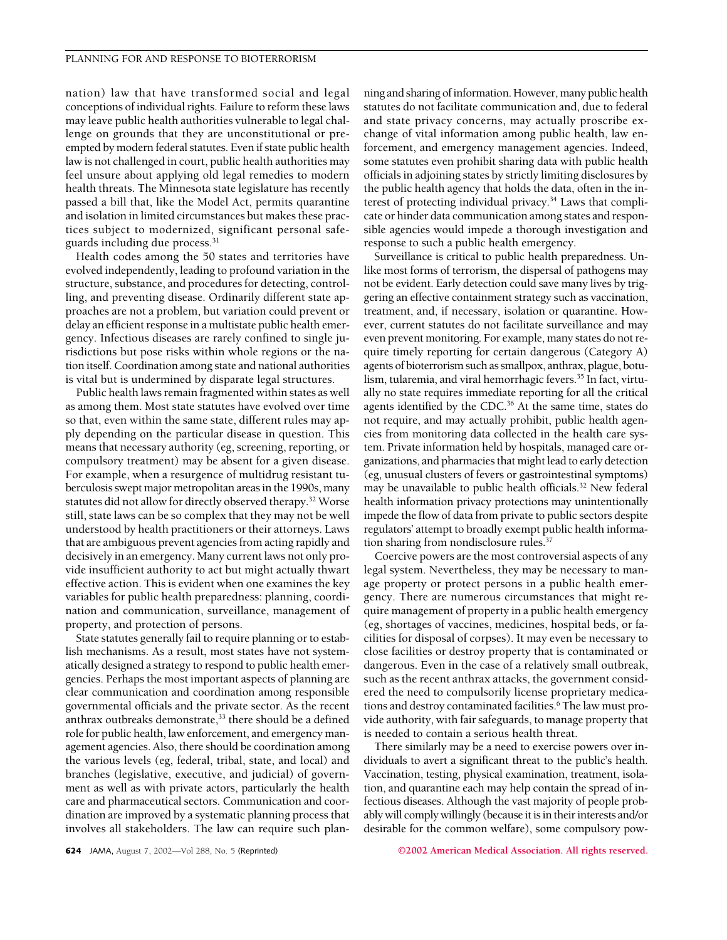nation) law that have transformed social and legal conceptions of individual rights. Failure to reform these laws may leave public health authorities vulnerable to legal challenge on grounds that they are unconstitutional or preempted by modern federal statutes. Even if state public health law is not challenged in court, public health authorities may feel unsure about applying old legal remedies to modern health threats. The Minnesota state legislature has recently passed a bill that, like the Model Act, permits quarantine and isolation in limited circumstances but makes these practices subject to modernized, significant personal safeguards including due process.<sup>31</sup>

Health codes among the 50 states and territories have evolved independently, leading to profound variation in the structure, substance, and procedures for detecting, controlling, and preventing disease. Ordinarily different state approaches are not a problem, but variation could prevent or delay an efficient response in a multistate public health emergency. Infectious diseases are rarely confined to single jurisdictions but pose risks within whole regions or the nation itself. Coordination among state and national authorities is vital but is undermined by disparate legal structures.

Public health laws remain fragmented within states as well as among them. Most state statutes have evolved over time so that, even within the same state, different rules may apply depending on the particular disease in question. This means that necessary authority (eg, screening, reporting, or compulsory treatment) may be absent for a given disease. For example, when a resurgence of multidrug resistant tuberculosis swept major metropolitan areas in the 1990s, many statutes did not allow for directly observed therapy.<sup>32</sup> Worse still, state laws can be so complex that they may not be well understood by health practitioners or their attorneys. Laws that are ambiguous prevent agencies from acting rapidly and decisively in an emergency. Many current laws not only provide insufficient authority to act but might actually thwart effective action. This is evident when one examines the key variables for public health preparedness: planning, coordination and communication, surveillance, management of property, and protection of persons.

State statutes generally fail to require planning or to establish mechanisms. As a result, most states have not systematically designed a strategy to respond to public health emergencies. Perhaps the most important aspects of planning are clear communication and coordination among responsible governmental officials and the private sector. As the recent anthrax outbreaks demonstrate, $33$  there should be a defined role for public health, law enforcement, and emergency management agencies. Also, there should be coordination among the various levels (eg, federal, tribal, state, and local) and branches (legislative, executive, and judicial) of government as well as with private actors, particularly the health care and pharmaceutical sectors. Communication and coordination are improved by a systematic planning process that involves all stakeholders. The law can require such planning and sharing of information. However, many public health statutes do not facilitate communication and, due to federal and state privacy concerns, may actually proscribe exchange of vital information among public health, law enforcement, and emergency management agencies. Indeed, some statutes even prohibit sharing data with public health officials in adjoining states by strictly limiting disclosures by the public health agency that holds the data, often in the interest of protecting individual privacy.<sup>34</sup> Laws that complicate or hinder data communication among states and responsible agencies would impede a thorough investigation and response to such a public health emergency.

Surveillance is critical to public health preparedness. Unlike most forms of terrorism, the dispersal of pathogens may not be evident. Early detection could save many lives by triggering an effective containment strategy such as vaccination, treatment, and, if necessary, isolation or quarantine. However, current statutes do not facilitate surveillance and may even prevent monitoring. For example, many states do not require timely reporting for certain dangerous (Category A) agents of bioterrorism such as smallpox, anthrax, plague, botulism, tularemia, and viral hemorrhagic fevers.<sup>35</sup> In fact, virtually no state requires immediate reporting for all the critical agents identified by the CDC.<sup>36</sup> At the same time, states do not require, and may actually prohibit, public health agencies from monitoring data collected in the health care system. Private information held by hospitals, managed care organizations, and pharmacies that might lead to early detection (eg, unusual clusters of fevers or gastrointestinal symptoms) may be unavailable to public health officials.32 New federal health information privacy protections may unintentionally impede the flow of data from private to public sectors despite regulators' attempt to broadly exempt public health information sharing from nondisclosure rules.<sup>37</sup>

Coercive powers are the most controversial aspects of any legal system. Nevertheless, they may be necessary to manage property or protect persons in a public health emergency. There are numerous circumstances that might require management of property in a public health emergency (eg, shortages of vaccines, medicines, hospital beds, or facilities for disposal of corpses). It may even be necessary to close facilities or destroy property that is contaminated or dangerous. Even in the case of a relatively small outbreak, such as the recent anthrax attacks, the government considered the need to compulsorily license proprietary medications and destroy contaminated facilities.<sup>6</sup> The law must provide authority, with fair safeguards, to manage property that is needed to contain a serious health threat.

There similarly may be a need to exercise powers over individuals to avert a significant threat to the public's health. Vaccination, testing, physical examination, treatment, isolation, and quarantine each may help contain the spread of infectious diseases. Although the vast majority of people probably will comply willingly (because it is in their interests and/or desirable for the common welfare), some compulsory pow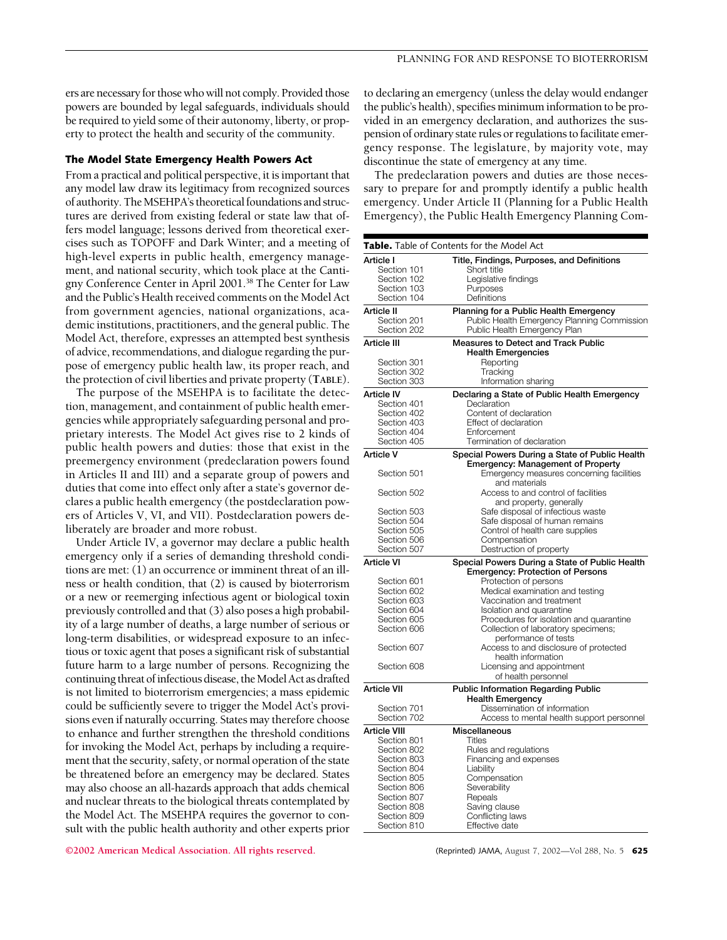ers are necessary for those who will not comply. Provided those powers are bounded by legal safeguards, individuals should be required to yield some of their autonomy, liberty, or property to protect the health and security of the community.

#### **The Model State Emergency Health Powers Act**

From a practical and political perspective, it is important that any model law draw its legitimacy from recognized sources of authority. The MSEHPA's theoretical foundations and structures are derived from existing federal or state law that offers model language; lessons derived from theoretical exercises such as TOPOFF and Dark Winter; and a meeting of high-level experts in public health, emergency management, and national security, which took place at the Cantigny Conference Center in April 2001.38 The Center for Law and the Public's Health received comments on the Model Act from government agencies, national organizations, academic institutions, practitioners, and the general public. The Model Act, therefore, expresses an attempted best synthesis of advice, recommendations, and dialogue regarding the purpose of emergency public health law, its proper reach, and the protection of civil liberties and private property (**TABLE**).

The purpose of the MSEHPA is to facilitate the detection, management, and containment of public health emergencies while appropriately safeguarding personal and proprietary interests. The Model Act gives rise to 2 kinds of public health powers and duties: those that exist in the preemergency environment (predeclaration powers found in Articles II and III) and a separate group of powers and duties that come into effect only after a state's governor declares a public health emergency (the postdeclaration powers of Articles V, VI, and VII). Postdeclaration powers deliberately are broader and more robust.

Under Article IV, a governor may declare a public health emergency only if a series of demanding threshold conditions are met: (1) an occurrence or imminent threat of an illness or health condition, that (2) is caused by bioterrorism or a new or reemerging infectious agent or biological toxin previously controlled and that (3) also poses a high probability of a large number of deaths, a large number of serious or long-term disabilities, or widespread exposure to an infectious or toxic agent that poses a significant risk of substantial future harm to a large number of persons. Recognizing the continuing threat of infectious disease, the Model Act as drafted is not limited to bioterrorism emergencies; a mass epidemic could be sufficiently severe to trigger the Model Act's provisions even if naturally occurring. States may therefore choose to enhance and further strengthen the threshold conditions for invoking the Model Act, perhaps by including a requirement that the security, safety, or normal operation of the state be threatened before an emergency may be declared. States may also choose an all-hazards approach that adds chemical and nuclear threats to the biological threats contemplated by the Model Act. The MSEHPA requires the governor to consult with the public health authority and other experts prior

**©2002 American Medical Association. All rights reserved.** (Reprinted) JAMA, August 7, 2002—Vol 288, No. 5 **625**

to declaring an emergency (unless the delay would endanger the public's health), specifies minimum information to be provided in an emergency declaration, and authorizes the suspension of ordinary state rules or regulations to facilitate emergency response. The legislature, by majority vote, may discontinue the state of emergency at any time.

The predeclaration powers and duties are those necessary to prepare for and promptly identify a public health emergency. Under Article II (Planning for a Public Health Emergency), the Public Health Emergency Planning Com-

| <b>Table.</b> Table of Contents for the Model Act |                                                                                      |  |
|---------------------------------------------------|--------------------------------------------------------------------------------------|--|
| Article I                                         | Title, Findings, Purposes, and Definitions                                           |  |
| Section 101                                       | Short title                                                                          |  |
| Section 102                                       | Legislative findings                                                                 |  |
| Section 103                                       | Purposes                                                                             |  |
| Section 104                                       | Definitions                                                                          |  |
| Article II                                        | Planning for a Public Health Emergency                                               |  |
| Section 201                                       | Public Health Emergency Planning Commission                                          |  |
| Section 202                                       | Public Health Emergency Plan                                                         |  |
| Article III                                       | <b>Measures to Detect and Track Public</b>                                           |  |
|                                                   | <b>Health Emergencies</b>                                                            |  |
| Section 301                                       | Reporting                                                                            |  |
| Section 302<br>Section 303                        | Tracking                                                                             |  |
|                                                   | Information sharing                                                                  |  |
| <b>Article IV</b>                                 | Declaring a State of Public Health Emergency                                         |  |
| Section 401<br>Section 402                        | Declaration<br>Content of declaration                                                |  |
| Section 403                                       | Effect of declaration                                                                |  |
| Section 404                                       | Enforcement                                                                          |  |
| Section 405                                       | Termination of declaration                                                           |  |
|                                                   |                                                                                      |  |
| <b>Article V</b>                                  | Special Powers During a State of Public Health                                       |  |
| Section 501                                       | <b>Emergency: Management of Property</b><br>Emergency measures concerning facilities |  |
|                                                   | and materials                                                                        |  |
| Section 502                                       | Access to and control of facilities                                                  |  |
|                                                   | and property, generally                                                              |  |
| Section 503                                       | Safe disposal of infectious waste                                                    |  |
| Section 504                                       | Safe disposal of human remains                                                       |  |
| Section 505                                       | Control of health care supplies                                                      |  |
| Section 506                                       | Compensation                                                                         |  |
| Section 507                                       | Destruction of property                                                              |  |
| Article VI                                        | Special Powers During a State of Public Health                                       |  |
|                                                   | <b>Emergency: Protection of Persons</b>                                              |  |
| Section 601                                       | Protection of persons                                                                |  |
| Section 602                                       | Medical examination and testing                                                      |  |
| Section 603                                       | Vaccination and treatment                                                            |  |
| Section 604                                       | Isolation and quarantine                                                             |  |
| Section 605                                       | Procedures for isolation and quarantine                                              |  |
| Section 606                                       | Collection of laboratory specimens;<br>performance of tests                          |  |
| Section 607                                       | Access to and disclosure of protected                                                |  |
|                                                   | health information                                                                   |  |
| Section 608                                       | Licensing and appointment                                                            |  |
|                                                   | of health personnel                                                                  |  |
| Article VII                                       | <b>Public Information Regarding Public</b>                                           |  |
|                                                   | <b>Health Emergency</b>                                                              |  |
| Section 701                                       | Dissemination of information                                                         |  |
| Section 702                                       | Access to mental health support personnel                                            |  |
| <b>Article VIII</b>                               | Miscellaneous                                                                        |  |
| Section 801                                       | Titles                                                                               |  |
| Section 802                                       | Rules and regulations                                                                |  |
| Section 803                                       | Financing and expenses                                                               |  |
| Section 804                                       | Liability                                                                            |  |
| Section 805                                       | Compensation                                                                         |  |
| Section 806                                       | Severability                                                                         |  |
| Section 807                                       | Repeals                                                                              |  |
| Section 808                                       | Saving clause                                                                        |  |
| Section 809<br>Section 810                        | Conflicting laws<br>Effective date                                                   |  |
|                                                   |                                                                                      |  |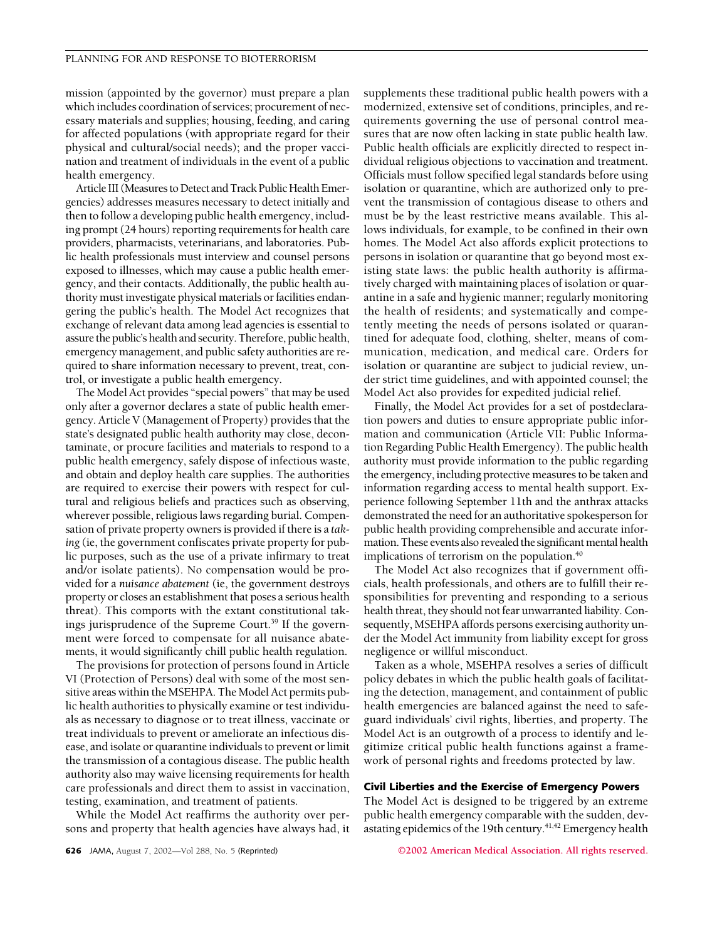mission (appointed by the governor) must prepare a plan which includes coordination of services; procurement of necessary materials and supplies; housing, feeding, and caring for affected populations (with appropriate regard for their physical and cultural/social needs); and the proper vaccination and treatment of individuals in the event of a public health emergency.

Article III (Measures to Detect and Track Public Health Emergencies) addresses measures necessary to detect initially and then to follow a developing public health emergency, including prompt (24 hours) reporting requirements for health care providers, pharmacists, veterinarians, and laboratories. Public health professionals must interview and counsel persons exposed to illnesses, which may cause a public health emergency, and their contacts. Additionally, the public health authority must investigate physical materials or facilities endangering the public's health. The Model Act recognizes that exchange of relevant data among lead agencies is essential to assure the public's health and security. Therefore, public health, emergency management, and public safety authorities are required to share information necessary to prevent, treat, control, or investigate a public health emergency.

The Model Act provides "special powers" that may be used only after a governor declares a state of public health emergency. Article V (Management of Property) provides that the state's designated public health authority may close, decontaminate, or procure facilities and materials to respond to a public health emergency, safely dispose of infectious waste, and obtain and deploy health care supplies. The authorities are required to exercise their powers with respect for cultural and religious beliefs and practices such as observing, wherever possible, religious laws regarding burial. Compensation of private property owners is provided if there is a *taking* (ie, the government confiscates private property for public purposes, such as the use of a private infirmary to treat and/or isolate patients). No compensation would be provided for a *nuisance abatement* (ie, the government destroys property or closes an establishment that poses a serious health threat). This comports with the extant constitutional takings jurisprudence of the Supreme Court.<sup>39</sup> If the government were forced to compensate for all nuisance abatements, it would significantly chill public health regulation.

The provisions for protection of persons found in Article VI (Protection of Persons) deal with some of the most sensitive areas within the MSEHPA. The Model Act permits public health authorities to physically examine or test individuals as necessary to diagnose or to treat illness, vaccinate or treat individuals to prevent or ameliorate an infectious disease, and isolate or quarantine individuals to prevent or limit the transmission of a contagious disease. The public health authority also may waive licensing requirements for health care professionals and direct them to assist in vaccination, testing, examination, and treatment of patients.

While the Model Act reaffirms the authority over persons and property that health agencies have always had, it supplements these traditional public health powers with a modernized, extensive set of conditions, principles, and requirements governing the use of personal control measures that are now often lacking in state public health law. Public health officials are explicitly directed to respect individual religious objections to vaccination and treatment. Officials must follow specified legal standards before using isolation or quarantine, which are authorized only to prevent the transmission of contagious disease to others and must be by the least restrictive means available. This allows individuals, for example, to be confined in their own homes. The Model Act also affords explicit protections to persons in isolation or quarantine that go beyond most existing state laws: the public health authority is affirmatively charged with maintaining places of isolation or quarantine in a safe and hygienic manner; regularly monitoring the health of residents; and systematically and competently meeting the needs of persons isolated or quarantined for adequate food, clothing, shelter, means of communication, medication, and medical care. Orders for isolation or quarantine are subject to judicial review, under strict time guidelines, and with appointed counsel; the Model Act also provides for expedited judicial relief.

Finally, the Model Act provides for a set of postdeclaration powers and duties to ensure appropriate public information and communication (Article VII: Public Information Regarding Public Health Emergency). The public health authority must provide information to the public regarding the emergency, including protective measures to be taken and information regarding access to mental health support. Experience following September 11th and the anthrax attacks demonstrated the need for an authoritative spokesperson for public health providing comprehensible and accurate information. These events also revealed the significant mental health implications of terrorism on the population.<sup>40</sup>

The Model Act also recognizes that if government officials, health professionals, and others are to fulfill their responsibilities for preventing and responding to a serious health threat, they should not fear unwarranted liability. Consequently, MSEHPA affords persons exercising authority under the Model Act immunity from liability except for gross negligence or willful misconduct.

Taken as a whole, MSEHPA resolves a series of difficult policy debates in which the public health goals of facilitating the detection, management, and containment of public health emergencies are balanced against the need to safeguard individuals' civil rights, liberties, and property. The Model Act is an outgrowth of a process to identify and legitimize critical public health functions against a framework of personal rights and freedoms protected by law.

## **Civil Liberties and the Exercise of Emergency Powers**

The Model Act is designed to be triggered by an extreme public health emergency comparable with the sudden, devastating epidemics of the 19th century.<sup>41,42</sup> Emergency health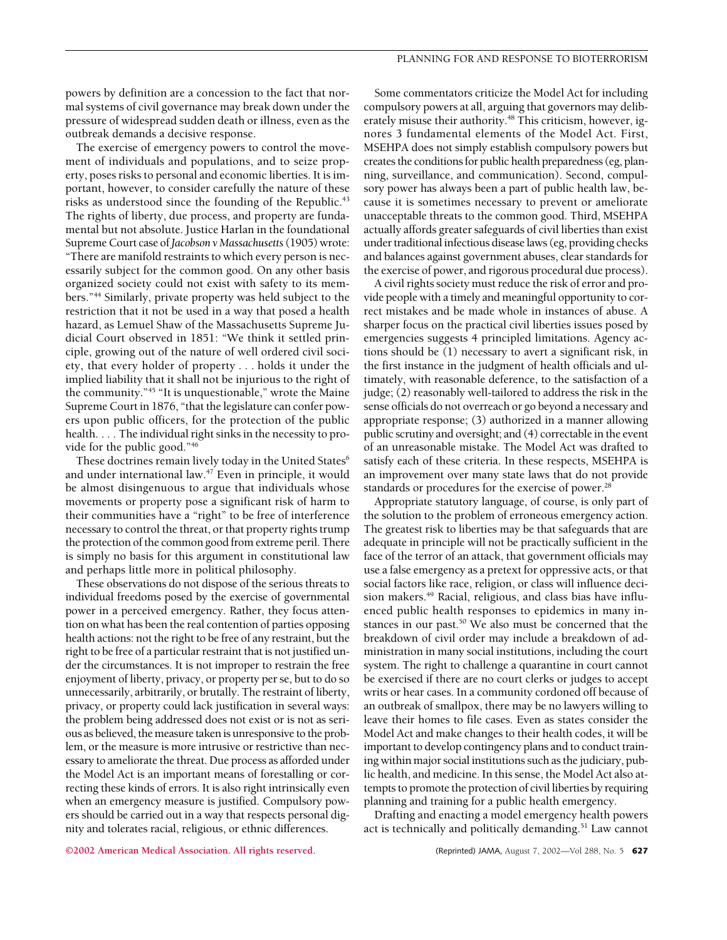powers by definition are a concession to the fact that normal systems of civil governance may break down under the pressure of widespread sudden death or illness, even as the outbreak demands a decisive response.

The exercise of emergency powers to control the movement of individuals and populations, and to seize property, poses risks to personal and economic liberties. It is important, however, to consider carefully the nature of these risks as understood since the founding of the Republic.<sup>43</sup> The rights of liberty, due process, and property are fundamental but not absolute. Justice Harlan in the foundational Supreme Court case of*Jacobson v Massachusetts*(1905) wrote: "There are manifold restraints to which every person is necessarily subject for the common good. On any other basis organized society could not exist with safety to its members."44 Similarly, private property was held subject to the restriction that it not be used in a way that posed a health hazard, as Lemuel Shaw of the Massachusetts Supreme Judicial Court observed in 1851: "We think it settled principle, growing out of the nature of well ordered civil society, that every holder of property... holds it under the implied liability that it shall not be injurious to the right of the community."45 "It is unquestionable," wrote the Maine Supreme Court in 1876, "that the legislature can confer powers upon public officers, for the protection of the public health. . . . The individual right sinks in the necessity to provide for the public good."46

These doctrines remain lively today in the United States<sup>6</sup> and under international law.<sup>47</sup> Even in principle, it would be almost disingenuous to argue that individuals whose movements or property pose a significant risk of harm to their communities have a "right" to be free of interference necessary to control the threat, or that property rights trump the protection of the common good from extreme peril. There is simply no basis for this argument in constitutional law and perhaps little more in political philosophy.

These observations do not dispose of the serious threats to individual freedoms posed by the exercise of governmental power in a perceived emergency. Rather, they focus attention on what has been the real contention of parties opposing health actions: not the right to be free of any restraint, but the right to be free of a particular restraint that is not justified under the circumstances. It is not improper to restrain the free enjoyment of liberty, privacy, or property per se, but to do so unnecessarily, arbitrarily, or brutally. The restraint of liberty, privacy, or property could lack justification in several ways: the problem being addressed does not exist or is not as serious as believed, the measure taken is unresponsive to the problem, or the measure is more intrusive or restrictive than necessary to ameliorate the threat. Due process as afforded under the Model Act is an important means of forestalling or correcting these kinds of errors. It is also right intrinsically even when an emergency measure is justified. Compulsory powers should be carried out in a way that respects personal dignity and tolerates racial, religious, or ethnic differences.

Some commentators criticize the Model Act for including compulsory powers at all, arguing that governors may deliberately misuse their authority.<sup>48</sup> This criticism, however, ignores 3 fundamental elements of the Model Act. First, MSEHPA does not simply establish compulsory powers but creates the conditions for public health preparedness (eg, planning, surveillance, and communication). Second, compulsory power has always been a part of public health law, because it is sometimes necessary to prevent or ameliorate unacceptable threats to the common good. Third, MSEHPA actually affords greater safeguards of civil liberties than exist under traditional infectious disease laws (eg, providing checks and balances against government abuses, clear standards for the exercise of power, and rigorous procedural due process).

A civil rights society must reduce the risk of error and provide people with a timely and meaningful opportunity to correct mistakes and be made whole in instances of abuse. A sharper focus on the practical civil liberties issues posed by emergencies suggests 4 principled limitations. Agency actions should be (1) necessary to avert a significant risk, in the first instance in the judgment of health officials and ultimately, with reasonable deference, to the satisfaction of a judge; (2) reasonably well-tailored to address the risk in the sense officials do not overreach or go beyond a necessary and appropriate response; (3) authorized in a manner allowing public scrutiny and oversight; and (4) correctable in the event of an unreasonable mistake. The Model Act was drafted to satisfy each of these criteria. In these respects, MSEHPA is an improvement over many state laws that do not provide standards or procedures for the exercise of power.<sup>28</sup>

Appropriate statutory language, of course, is only part of the solution to the problem of erroneous emergency action. The greatest risk to liberties may be that safeguards that are adequate in principle will not be practically sufficient in the face of the terror of an attack, that government officials may use a false emergency as a pretext for oppressive acts, or that social factors like race, religion, or class will influence decision makers.<sup>49</sup> Racial, religious, and class bias have influenced public health responses to epidemics in many instances in our past.<sup>50</sup> We also must be concerned that the breakdown of civil order may include a breakdown of administration in many social institutions, including the court system. The right to challenge a quarantine in court cannot be exercised if there are no court clerks or judges to accept writs or hear cases. In a community cordoned off because of an outbreak of smallpox, there may be no lawyers willing to leave their homes to file cases. Even as states consider the Model Act and make changes to their health codes, it will be important to develop contingency plans and to conduct training within major social institutions such as the judiciary, public health, and medicine. In this sense, the Model Act also attempts to promote the protection of civil liberties by requiring planning and training for a public health emergency.

Drafting and enacting a model emergency health powers act is technically and politically demanding.<sup>51</sup> Law cannot